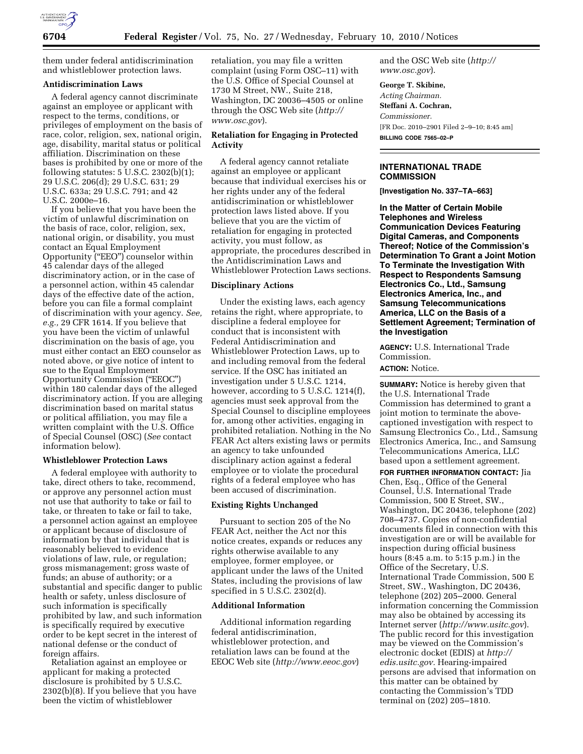

them under federal antidiscrimination and whistleblower protection laws.

# **Antidiscrimination Laws**

A federal agency cannot discriminate against an employee or applicant with respect to the terms, conditions, or privileges of employment on the basis of race, color, religion, sex, national origin, age, disability, marital status or political affiliation. Discrimination on these bases is prohibited by one or more of the following statutes:  $5 \text{ U.S.C. } 2302 \text{ (b)} \text{ (1)}$ ; 29 U.S.C. 206(d); 29 U.S.C. 631; 29 U.S.C. 633a; 29 U.S.C. 791; and 42 U.S.C. 2000e–16.

If you believe that you have been the victim of unlawful discrimination on the basis of race, color, religion, sex, national origin, or disability, you must contact an Equal Employment Opportunity (''EEO'') counselor within 45 calendar days of the alleged discriminatory action, or in the case of a personnel action, within 45 calendar days of the effective date of the action, before you can file a formal complaint of discrimination with your agency. *See, e.g.,* 29 CFR 1614. If you believe that you have been the victim of unlawful discrimination on the basis of age, you must either contact an EEO counselor as noted above, or give notice of intent to sue to the Equal Employment Opportunity Commission (''EEOC'') within 180 calendar days of the alleged discriminatory action. If you are alleging discrimination based on marital status or political affiliation, you may file a written complaint with the U.S. Office of Special Counsel (OSC) (*See* contact information below).

#### **Whistleblower Protection Laws**

A federal employee with authority to take, direct others to take, recommend, or approve any personnel action must not use that authority to take or fail to take, or threaten to take or fail to take, a personnel action against an employee or applicant because of disclosure of information by that individual that is reasonably believed to evidence violations of law, rule, or regulation; gross mismanagement; gross waste of funds; an abuse of authority; or a substantial and specific danger to public health or safety, unless disclosure of such information is specifically prohibited by law, and such information is specifically required by executive order to be kept secret in the interest of national defense or the conduct of foreign affairs.

Retaliation against an employee or applicant for making a protected disclosure is prohibited by 5 U.S.C. 2302(b)(8). If you believe that you have been the victim of whistleblower

retaliation, you may file a written complaint (using Form OSC–11) with the U.S. Office of Special Counsel at 1730 M Street, NW., Suite 218, Washington, DC 20036–4505 or online through the OSC Web site (*http:// www.osc.gov*).

# **Retaliation for Engaging in Protected Activity**

A federal agency cannot retaliate against an employee or applicant because that individual exercises his or her rights under any of the federal antidiscrimination or whistleblower protection laws listed above. If you believe that you are the victim of retaliation for engaging in protected activity, you must follow, as appropriate, the procedures described in the Antidiscrimination Laws and Whistleblower Protection Laws sections.

#### **Disciplinary Actions**

Under the existing laws, each agency retains the right, where appropriate, to discipline a federal employee for conduct that is inconsistent with Federal Antidiscrimination and Whistleblower Protection Laws, up to and including removal from the federal service. If the OSC has initiated an investigation under 5 U.S.C. 1214, however, according to 5 U.S.C. 1214(f), agencies must seek approval from the Special Counsel to discipline employees for, among other activities, engaging in prohibited retaliation. Nothing in the No FEAR Act alters existing laws or permits an agency to take unfounded disciplinary action against a federal employee or to violate the procedural rights of a federal employee who has been accused of discrimination.

#### **Existing Rights Unchanged**

Pursuant to section 205 of the No FEAR Act, neither the Act nor this notice creates, expands or reduces any rights otherwise available to any employee, former employee, or applicant under the laws of the United States, including the provisions of law specified in 5 U.S.C. 2302(d).

### **Additional Information**

Additional information regarding federal antidiscrimination, whistleblower protection, and retaliation laws can be found at the EEOC Web site (*http://www.eeoc.gov*) and the OSC Web site (*http:// www.osc.gov*).

**George T. Skibine,** 

*Acting Chairman.*  **Steffani A. Cochran,**  *Commissioner.*  [FR Doc. 2010–2901 Filed 2–9–10; 8:45 am] **BILLING CODE 7565–02–P** 

## **INTERNATIONAL TRADE COMMISSION**

**[Investigation No. 337–TA–663]** 

**In the Matter of Certain Mobile Telephones and Wireless Communication Devices Featuring Digital Cameras, and Components Thereof; Notice of the Commission's Determination To Grant a Joint Motion To Terminate the Investigation With Respect to Respondents Samsung Electronics Co., Ltd., Samsung Electronics America, Inc., and Samsung Telecommunications America, LLC on the Basis of a Settlement Agreement; Termination of the Investigation** 

**AGENCY:** U.S. International Trade Commission.

#### **ACTION:** Notice.

**SUMMARY:** Notice is hereby given that the U.S. International Trade Commission has determined to grant a joint motion to terminate the abovecaptioned investigation with respect to Samsung Electronics Co., Ltd., Samsung Electronics America, Inc., and Samsung Telecommunications America, LLC based upon a settlement agreement.

**FOR FURTHER INFORMATION CONTACT:** Jia Chen, Esq., Office of the General Counsel, U.S. International Trade Commission, 500 E Street, SW., Washington, DC 20436, telephone (202) 708–4737. Copies of non-confidential documents filed in connection with this investigation are or will be available for inspection during official business hours (8:45 a.m. to 5:15 p.m.) in the Office of the Secretary, U.S. International Trade Commission, 500 E Street, SW., Washington, DC 20436, telephone (202) 205–2000. General information concerning the Commission may also be obtained by accessing its Internet server (*http://www.usitc.gov*). The public record for this investigation may be viewed on the Commission's electronic docket (EDIS) at *http:// edis.usitc.gov.* Hearing-impaired persons are advised that information on this matter can be obtained by contacting the Commission's TDD terminal on (202) 205–1810.